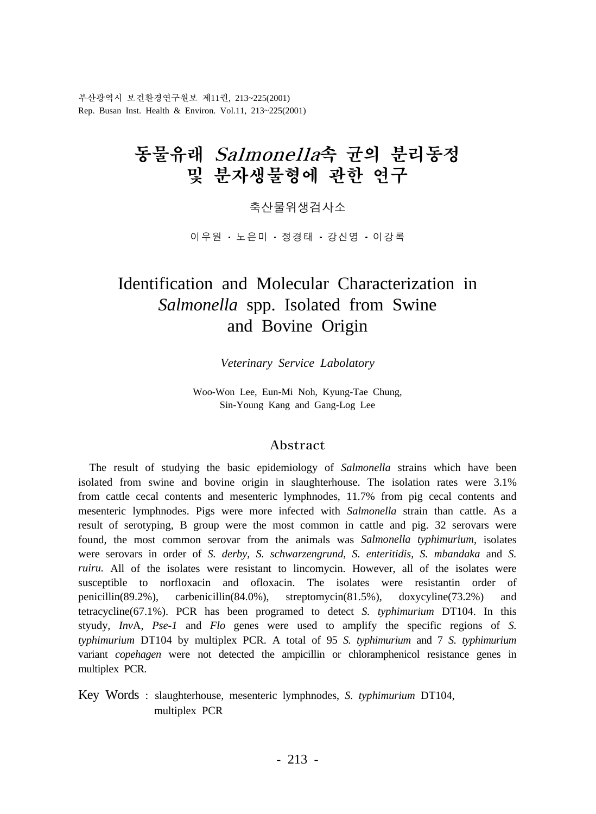부산광역시 보건환경연구원보 제11권, 213~225(2001) Rep. Busan Inst. Health & Environ. Vol.11, 213~225(2001)

# 동물유래 Salmonella속 균의 분리동정 및 분자생물형에 관한 연구

축산물위생검사소

이 우 원 · 노 은 미 · 정 경 태 · 강 신 영 · 이 강 록

# Identification and Molecular Characterization in *Salmonella* spp. Isolated from Swine and Bovine Origin

*Veterinary Service Labolatory*

Woo-Won Lee, Eun-Mi Noh, Kyung-Tae Chung, Sin-Young Kang and Gang-Log Lee

#### Abstract

 The result of studying the basic epidemiology of *Salmonella* strains which have been isolated from swine and bovine origin in slaughterhouse. The isolation rates were 3.1% from cattle cecal contents and mesenteric lymphnodes, 11.7% from pig cecal contents and mesenteric lymphnodes. Pigs were more infected with *Salmonella* strain than cattle. As a result of serotyping, B group were the most common in cattle and pig. 32 serovars were found, the most common serovar from the animals was *Salmonella typhimurium*, isolates were serovars in order of *S. derby, S. schwarzengrund, S. enteritidis, S. mbandaka* and *S. ruiru*. All of the isolates were resistant to lincomycin. However, all of the isolates were susceptible to norfloxacin and ofloxacin. The isolates were resistantin order of penicillin(89.2%), carbenicillin(84.0%), streptomycin(81.5%), doxycyline(73.2%) and tetracycline(67.1%). PCR has been programed to detect *S. typhimurium* DT104. In this styudy, *Inv*A, *Pse-1* and *Flo* genes were used to amplify the specific regions of *S. typhimurium* DT104 by multiplex PCR. A total of 95 *S. typhimurium* and 7 *S. typhimurium*  variant *copehagen* were not detected the ampicillin or chloramphenicol resistance genes in multiplex PCR.

Key Words : slaughterhouse, mesenteric lymphnodes, *S. typhimurium* DT104, multiplex PCR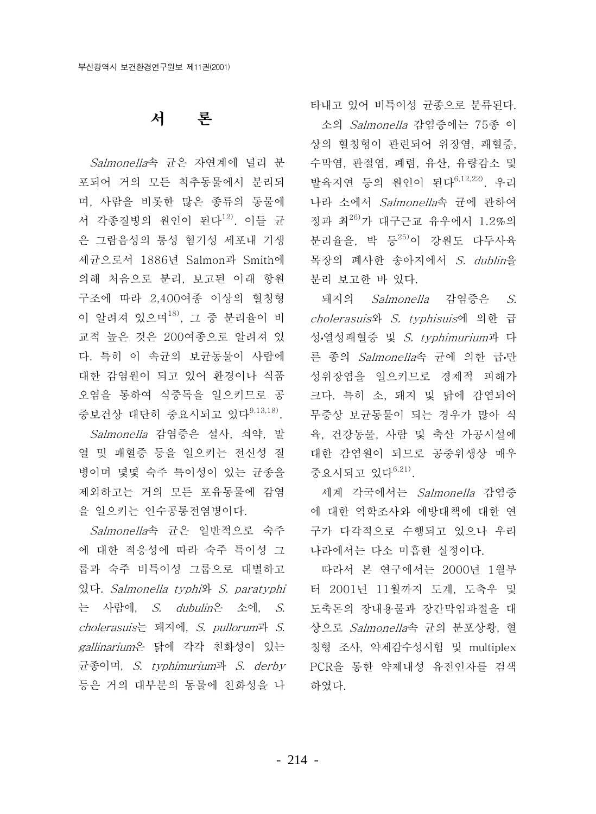# 서 론

*Salmonella*속 균은 자연계에 널리 분 포되어 거의 모든 척추동물에서 분리되 며. 사람을 비롯한 많은 종류의 동물에 서 각종질병의 워인이 된다<sup>12)</sup>. 이들 규 은 그람음성의 통성 혐기성 세포내 기생 세균으로서 1886년 Salmon과 Smith에 의해 처음으로 분리, 보고된 이래 항원 구조에 따라 2,400여종 이상의 혈청형 이 알려져 있으며<sup>18)</sup>, 그 중 분리율이 비 교적 높은 것은 200여종으로 알려져 있 다. 특히 이 속규의 보규동물이 사람에 대한 감염원이 되고 있어 환경이나 식품 오염을 통하여 식중독을 일으키므로 공 중보건상 대단히 중요시되고 있다<sup>9,13,18)</sup>.

Salmonella 감염증은 설사, 쇠약, 발 열 및 패혈증 등을 일으키는 전신성 질 병이며 몇몇 숙주 특이성이 있는 균종을 제외하고는 거의 모든 포유동물에 감염 을 일으키는 인수공통전염병이다.

Salmonella속 균은 일반적으로 숙주 에 대한 적응성에 따라 숙주 특이성 그 룹과 숙주 비특이성 그룹으로 대별하고 있다. Salmonella typhi와 S. paratyphi 는 사람에, S. dubulin은 소에, S. cholerasuis는 돼지에, S. pullorum과 S. gallinarium은 닭에 각각 친화성이 있는 균종이며, S. typhimurium과 S. derby 등은 거의 대부분의 동물에 친화성을 나

타내고 있어 비특이성 균종으로 분류된다.

소의 Salmonella 감염증에는 75종 이 상의 혈청형이 관련되어 위장염, 패혈증, 수막염, 관절염, 폐렴, 유산, 유량감소 및 발육지연 등의 워인이 된다<sup>6,12,22)</sup>. 우리 나라 소에서 Salmonella속 균에 관하여 정과 최26)가 대구근교 유우에서 1.2%의 분리율을, 박 등25)이 강원도 다두사육 목장의 폐사한 송아지에서 S. dublin을 분리 보고한 바 있다.

- 돼지의 *Salmonella* 감염증은 *S. cholerasuis*와 *S. tvphisuis*에 의한 급 성·열성패혈증 및 S. typhimurium과 다 른 종의 Salmonella속 균에 의한 급만 성위장염을 일으키므로 경제적 피해가 크다. 특히 소, 돼지 및 닭에 감염되어 무증상 보균동물이 되는 경우가 많아 식 육, 건강동물, 사람 및 축산 가공시설에 대한 감염원이 되므로 공중위생상 매우 중요시되고 있다<sup>6,21)</sup>.

세계 각국에서는 Salmonella 감염증 에 대한 역학조사와 예방대책에 대한 연 구가 다각적으로 수행되고 있으나 우리 나라에서는 다소 미흡한 실정이다.

따라서 본 연구에서는 2000년 1월부 더 2001년 11월까지 도계, 도축우 및 도축돈의 장내용물과 장간막임파절을 대 상으로 *Salmonella*속 균의 분포상황, 혈 청형 조사, 약제감수성시험 및 multiplex PCR을 통한 약제내성 유전인자를 검색 하였다.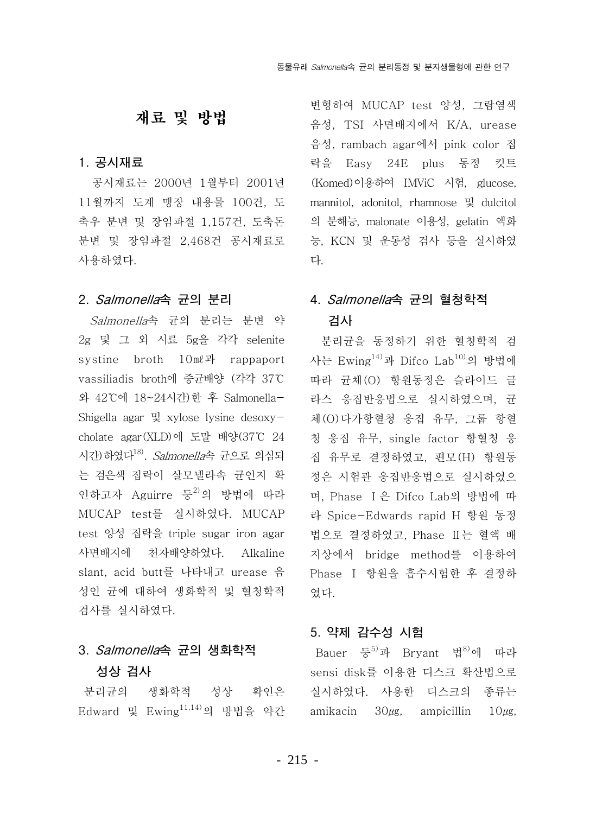## 재료 및 방법

### 1. 공시재료

공시재료는 2000년 1월부터 2001년 11월까지 도계 맹장 내용물 100건. 도 축우 분변 및 장임파절 1.157건. 도축돈 분변 및 장임파절 2,468건 공시재료로 사용하였다.

### 2. Salmonella속 균의 분리

Salmonella속 균의 분리는 분변 약 2g 및 그 외 시료 5g을 각각 selenite systine broth 10ml과 rappaport vassiliadis broth에 증균배양 (각각 37℃ 와 42°C에 18~24시간)한 후 Salmonella-Shigella agar  $\mathbb{R}$  xylose lysine desoxycholate agar (XLD)에 도말 배양(37℃ 24 시간) 하였다<sup>18)</sup>. Salmonella속 균으로 의심되 는 검은색 집락이 살모넬라속 규인지 확 인하고자 Aguirre 등<sup>2)</sup>의 방법에 따라 MUCAP test를 실시하였다. MUCAP test 양성 집락을 triple sugar iron agar 사면배지에 천자배양하였다. Alkaline slant, acid butt를 나타내고 urease 음 성인 균에 대하여 생화학적 및 혈청학적 검사를 실시하였다.

# 3. *Salmonella*속 균의 생화학적 성상 검사

분리균의 생화학적 성상 확인은 Edward 및 Ewing<sup>11,14)</sup>의 방법을 약간 amikacin 30 $\mu$ g, ampicillin 10 $\mu$ g,

변형하여 MUCAP test 양성, 그람염색 음성, TSI 사면배지에서 K/A, urease 음성, rambach agar에서 pink color 집 락을 Easy 24E plus 동정 킷트 (Komed)이용하여 IMViC 시험, glucose, mannitol, adonitol, rhamnose 및 dulcitol 의 분해능, malonate 이용성, gelatin 액화 능, KCN 및 운동성 검사 등을 실시하였 다.

## 4. Salmonella속 규의 혈청학적 검사

분리균을 동정하기 위한 혈청학적 검 사는 Ewing<sup>14)</sup>과 Difco Lab<sup>10)</sup>의 방법에 따라 균체(0) 항원동정은 슬라이드 글 라스 응집반응법으로 실시하였으며, 균 체(0) 다가항혈청 응집 유무, 그룹 항혈 청 응집 유무, single factor 항혈청 응 집 유무로 결정하였고, 편모(H) 항원동 정은 시험관 응집반응법으로 실시하였으 며. Phase I 은 Difco Lab의 방법에 따 라 Spice-Edwards rapid H 항원 동정 법으로 결정하였고, Phase II는 혈액 배 지상에서 bridge method를 이용하여 Phase I 항원을 흡수시험한 후 결정하 였다.

## 5. 약제 감수성 시험

Bauer 등<sup>5)</sup>과 Bryant 법<sup>8)</sup>에 따라 sensi disk를 이용한 디스크 확산법으로 실시하였다. 사용한 디스크의 종류는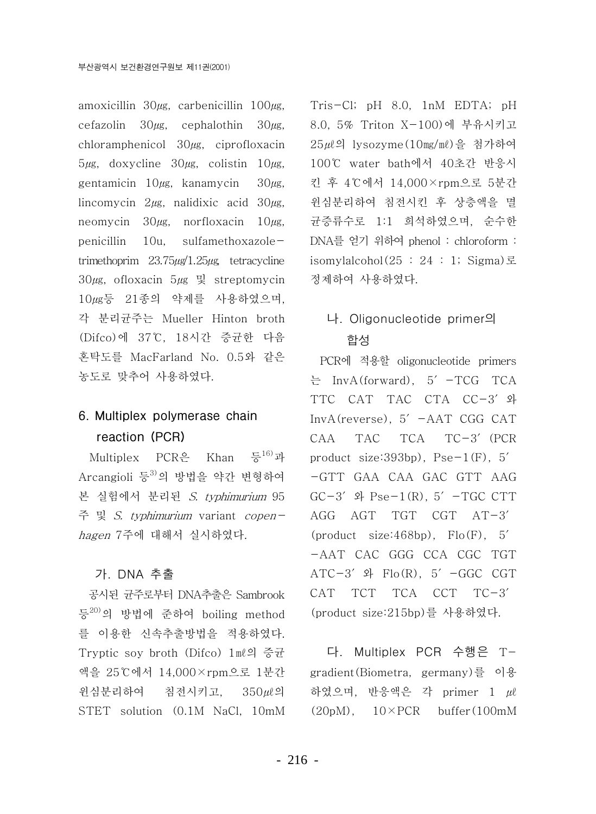amoxicillin  $30\mu$ g, carbenicillin  $100\mu$ g, cefazolin  $30\mu$ g, cephalothin  $30\mu$ g, chloramphenicol  $30\mu$ g, ciprofloxacin  $5\mu$ g, doxycline  $30\mu$ g, colistin  $10\mu$ g, gentamicin  $10\mu$ g, kanamycin  $30\mu$ g, lincomycin  $2\mu$ g, nalidixic acid  $30\mu$ g, neomycin  $30\mu$ g, norfloxacin  $10\mu$ g, penicillin 10u, sulfamethoxazoletrimethoprim  $23.75\mu g/1.25\mu g$  tetracycline  $30\mu$ g, ofloxacin  $5\mu$ g 및 streptomycin 10µg등 21종의 약제를 사용하였으며, 각 분리규주는 Mueller Hinton broth (Difco)에 37℃, 18시간 증균한 다음 혼탁도를 MacFarland No. 0.5와 같은 농도로 맞추어 사용하였다.

# 6. Multiplex polymerase chain reaction (PCR)

Multiplex PCR은 Khan 등<sup>16)</sup>과 Arcangioli 등3)의 방법을 약간 변형하여 본 실험에서 분리된 S. typhimurium 95 주 및 S. typhimurium variant copenhagen 7주에 대해서 실시하였다.

### 가. DNA 추출

공시된 규주로부터 DNA추출은 Sambrook 등20)의 방법에 준하여 boiling method 를 이용한 신속추출방법을 적용하였다. Tryptic soy broth (Difco) 1ml의 증균 액을 25℃에서 14,000×rpm으로 1분간 윈심분리하여 침전시키고, 350μl의 STET solution (0.1M NaCl, 10mM Tris-Cl; pH 8.0, 1nM EDTA; pH 8.0, 5% Triton X-100)에 부유시키고 25μl의 lysozyme (10mg/ml)을 첨가하여 100℃ water bath에서 40초간 반응시 킨 후 4℃에서 14,000×rpm으로 5분간 윈심분리하여 침전시킨 후 상층액을 멸 균증류수로 1:1 희석하였으며, 순수한 DNA를 얻기 위하여 phenol : chloroform : isomylalcohol $(25 : 24 : 1;$  Sigma) 로 정제하여 사용하였다.

## 나. Oligonucleotide primer의 합성

PCR에 적용할 oligonucleotide primers  $\equiv$  InvA(forward), 5' -TCG TCA TTC CAT TAC CTA CC-3' 와  $InvA(reverse)$ , 5'  $-AAT$  CGG CAT  $TCA$   $TC-3'$  (PCR CAA **TAC** product size: $393bp$ , Pse $-1(F)$ , 5' -GTT GAA CAA GAC GTT AAG  $GC-3'$   $\Phi$  Pse-1(R),  $5'$  -TGC CTT AGG AGT TGT CGT AT-3' (product size:  $468bp$ ), Flo(F), 5' -AAT CAC GGG CCA CGC TGT  $ATC-3'$   $\mathcal{L}$  Flo(R),  $5'$  -GGC CGT CAT TCT TCA CCT TC-3' (product size:215bp)를 사용하였다.

다. Multiplex PCR 수행은 Tgradient (Biometra, germany)를 이용 하였으며, 반응액은 각 primer 1  $\mu$  $(20pM)$ ,  $10\times PCR$  buffer  $(100mM)$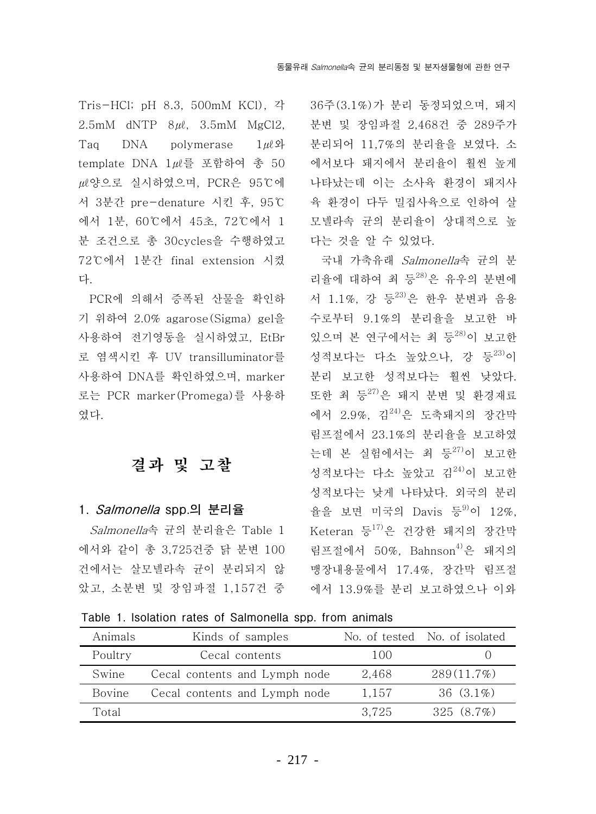Tris-HCl; pH 8.3, 500mM KCl), 각 2.5mM dNTP  $8\mu\ell$ , 3.5mM MgCl2, Tag DNA polymerase  $1\mu\ell\mathfrak{P}$ template DNA 1 / 를 포함하여 총 50 *LL* 양으로 실시하였으며, PCR은 95℃에 서 3분간 pre-denature 시킨 후, 95℃ 에서 1분, 60℃에서 45초, 72℃에서 1 분 조건으로 총 30cvcles을 수행하였고 72℃에서 1분간 final extension 시켰 다.

PCR에 의해서 증폭된 산물을 확인하 기 위하여 2.0% agarose(Sigma) gel을 사용하여 전기영동을 실시하였고. EtBr 로 염색시킨 후 UV transilluminator를 사용하여 DNA를 확인하였으며, marker 로는 PCR marker (Promega)를 사용하 였다.

# 결과 및 고찰

#### 1. *Salmonella* spp.의 분리율

Salmonella속 균의 분리율은 Table 1 에서와 같이 총 3,725건중 닭 분변 100 건에서는 살모넬라속 균이 분리되지 않 앞고, 소분변 및 장임파절 1.157건 중

36주(3.1%)가 분리 동정되었으며, 돼지 분변 및 장임파절 2.468건 중 289주가 분리되어 11,7%의 분리율을 보였다. 소 에서보다 돼지에서 분리율이 훨씬 높게 나타났는데 이는 소사육 환경이 돼지사 육 환경이 다두 밀집사육으로 인하여 살 모넬라속 균의 분리율이 상대적으로 높 다는 것을 알 수 있었다.

국내 가축유래 Salmonella속 균의 분 리율에 대하여 최 등28)은 유우의 분변에 서 1.1%. 강 등23)은 하우 분변과 음용 수로부터 9.1%의 분리율을 보고한 바 있으며 본 여구에서는 최 등28)이 보고한 성적보다는 다소 높았으나, 강 등<sup>23)</sup>이 분리 보고한 성적보다는 훨씬 낮았다. 또한 최 등27)은 돼지 분변 및 환경재료 에서 2.9%, 김<sup>24)</sup>은 도축돼지의 장간막 림프절에서 23.1%의 분리율을 보고하였 는데 본 실험에서는 최 등27)이 보고한 성적보다는 다소 높았고 김<sup>24)</sup>이 보고한 성적보다는 낮게 나타났다. 외국의 분리 율을 보면 미국의 Davis 등<sup>9)</sup>이 12%, Keteran 등 $^{17)}$ 은 건강한 돼지의 장간막 림프절에서 50%. Bahnson<sup>4)</sup>은 돼지의 맹장내용물에서 17.4%. 장간막 림프절 에서 13.9%를 분리 보고하였으나 이와

Table 1. Isolation rates of Salmonella spp. from animals

| Animals | Kinds of samples              |       | No. of tested No. of isolated |  |  |
|---------|-------------------------------|-------|-------------------------------|--|--|
| Poultry | Cecal contents                | 100   |                               |  |  |
| Swine   | Cecal contents and Lymph node | 2,468 | 289(11.7%)                    |  |  |
| Bovine  | Cecal contents and Lymph node | 1.157 | 36 $(3.1\%)$                  |  |  |
| Total   |                               | 3.725 | 325 $(8.7%)$                  |  |  |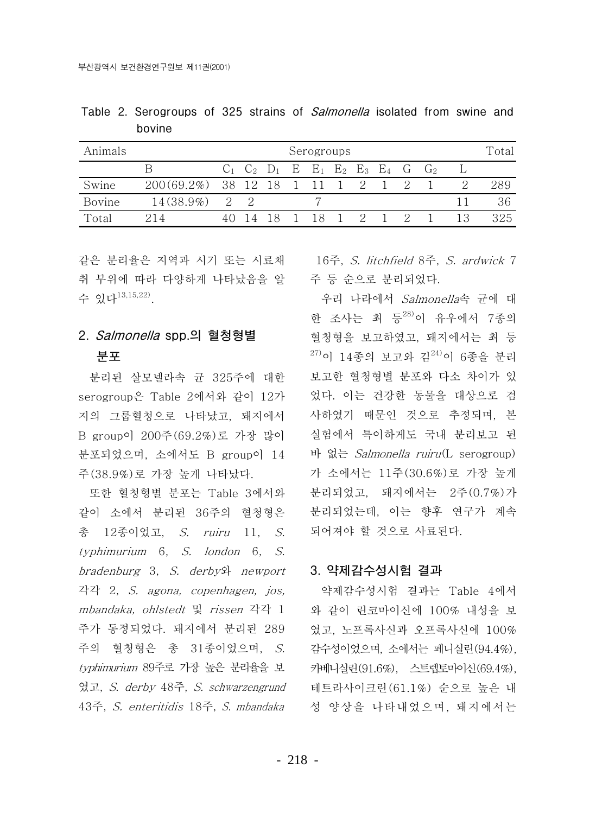Table 2. Serogroups of 325 strains of *Salmonella* isolated from swine and bovine

| Animals | Serogroups                       |     |  |                                                         |  |  |        |  | Total |  |     |
|---------|----------------------------------|-----|--|---------------------------------------------------------|--|--|--------|--|-------|--|-----|
|         |                                  |     |  | $C_1$ $C_2$ $D_1$ $E$ $E_1$ $E_2$ $E_3$ $E_4$ $G$ $G_2$ |  |  |        |  |       |  |     |
| Swine   | 200(69.2%) 38 12 18 1 11 1 2 1 2 |     |  |                                                         |  |  |        |  |       |  |     |
| Bovine  | $14(38.9\%)$                     | 2 2 |  |                                                         |  |  |        |  |       |  | 36  |
| Total   | 214                              |     |  |                                                         |  |  | 18 1 2 |  |       |  | 325 |

취 부위에 따라 다양하게 나타났음을 알 수 있다<sup>13,15,22)</sup>

## 2. Salmonella spp.의 혈청형별 분포

분리된 살모넬라속 균 325주에 대한 serogroup은 Table 2에서와 같이 12가 지의 그룹혈청으로 나타났고, 돼지에서 B group이 200주(69.2%)로 가장 많이 분포되었으며, 소에서도 B group이 14 주(38.9%)로 가장 높게 나타났다.

또한 혈청형별 분포는 Table 3에서와 같이 소에서 분리된 36주의 혈청형은 총 12종이었고, S. ruiru 11, S. typhimurium 6, S. london 6, S. bradenburg 3, S. derby hewport 각각 2, S. agona, copenhagen, jos, mbandaka, ohlstedt 및 rissen 각각 1 주가 동정되었다. 돼지에서 분리된 289 주의 혈청형은 총 31종이었으며, S. typhimurium 89주로 가장 높은 분리율을 보 였고, S. derby 48주, S. schwarzengrund 43주, S. enteritidis 18주, S. mbandaka

같은 분리율은 지역과 시기 또는 시료채 16주, S. litchfield 8주, S. ardwick 7 주 등 순으로 분리되었다.

> 우리 나라에서 Salmonella속 균에 대 한 조사는 최 등<sup>28)</sup>이 유우에서 7종의 혈청형을 보고하였고, 돼지에서는 최 등 <sup>27)</sup>이 14종의 보고와 김<sup>24)</sup>이 6종을 부리 보고한 혈청형별 분포와 다소 차이가 있 었다. 이는 건강한 동물을 대상으로 검 사하였기 때문인 것으로 추정되며, 본 실험에서 특이하게도 국내 분리보고 된 바 없는 Salmonella ruiru(L serogroup) 가 소에서는 11주(30.6%)로 가장 높게 분리되었고, 돼지에서는 2주(0.7%)가 분리되었는데, 이는 향후 연구가 계속 되어져야 할 것으로 사료된다.

#### 3. 약제감수성시험 결과

약제감수성시험 결과는 Table 4에서 와 같이 린코마이신에 100% 내성을 보 였고, 노프록사신과 오프록사신에 100% 감수성이었으며, 소에서는 페니실린 (94.4%), 카베니실린 (91.6%), 스트렙토마이신 (69.4%), 테트라사이크린 (61.1%) 순으로 높은 내 성 양상을 나타내었으며, 돼지에서는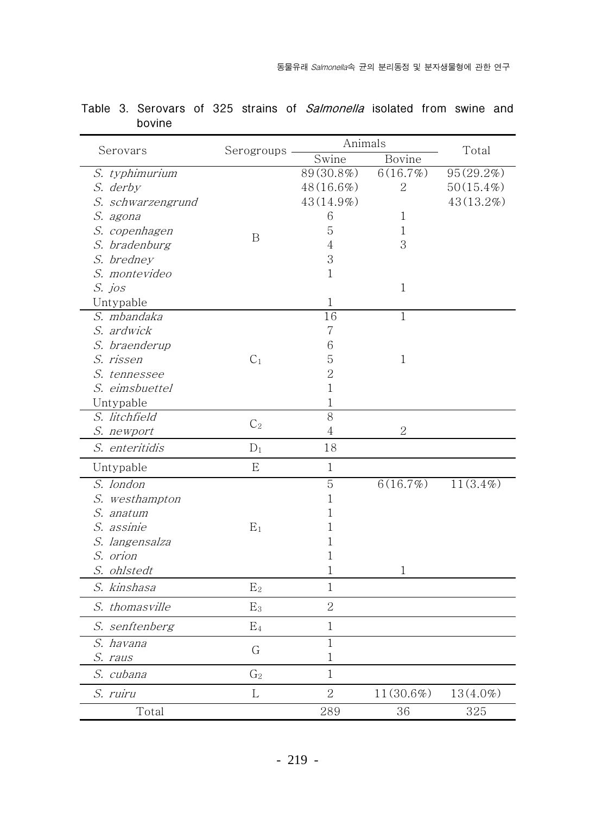|                   |                | Animals        | Total          |             |  |
|-------------------|----------------|----------------|----------------|-------------|--|
| Serovars          | Serogroups     | Swine          | Bovine         |             |  |
| S. typhimurium    |                | 89(30.8%)      | 6(16.7%)       | 95(29.2%)   |  |
| S. derby          |                | $48(16.6\%)$   | $\overline{2}$ | 50(15.4%)   |  |
| S. schwarzengrund |                | 43(14.9%)      |                | 43(13.2%)   |  |
| S. agona          |                | 6              | $\mathbf{1}$   |             |  |
| S. copenhagen     |                | 5              | $\mathbf{1}$   |             |  |
| S. bradenburg     | $\mathbf B$    | 4              | 3              |             |  |
| S. bredney        |                | 3              |                |             |  |
| S. montevideo     |                | $\mathbf{1}$   |                |             |  |
| S. jos            |                |                | $\mathbf 1$    |             |  |
| Untypable         |                | 1              |                |             |  |
| S. mbandaka       |                | 16             | $\mathbf{1}$   |             |  |
| S. ardwick        |                | $\overline{7}$ |                |             |  |
| S. braenderup     |                | 6              |                |             |  |
| S. rissen         | C <sub>1</sub> | 5              | $\mathbf{1}$   |             |  |
| S. tennessee      |                | $\overline{2}$ |                |             |  |
| S. eimsbuettel    |                | $\mathbf 1$    |                |             |  |
| Untypable         |                | $\mathbf 1$    |                |             |  |
| S. litchfield     |                | $\overline{8}$ |                |             |  |
| S. newport        | C <sub>2</sub> | $\overline{4}$ | $\overline{2}$ |             |  |
| S. enteritidis    | $D_1$          | 18             |                |             |  |
| Untypable         | E              | $\mathbf{1}$   |                |             |  |
| S. london         |                | $\overline{5}$ | 6(16.7%)       | $11(3.4\%)$ |  |
| S. westhampton    |                | $\mathbf 1$    |                |             |  |
| S. anatum         |                | 1              |                |             |  |
| S. assinie        | $E_1$          | 1              |                |             |  |
| S. langensalza    |                | 1              |                |             |  |
| S. orion          |                | 1              |                |             |  |
| S. ohlstedt       |                | 1              | 1              |             |  |
| S. kinshasa       | E <sub>2</sub> | $\mathbf{1}$   |                |             |  |
| S. thomasville    | E <sub>3</sub> | $\overline{2}$ |                |             |  |
| S. senftenberg    | E <sub>4</sub> | 1              |                |             |  |
| S. havana         |                | 1              |                |             |  |
| S. raus           | G              | $\mathbf 1$    |                |             |  |
| S. cubana         | G <sub>2</sub> | $\mathbf{1}$   |                |             |  |
| S. ruiru          | L              | $\overline{2}$ | 11(30.6%)      | 13(4.0%)    |  |
| Total             |                | 289            | 36             | 325         |  |

Table 3. Serovars of 325 strains of Salmonella isolated from swine and bovine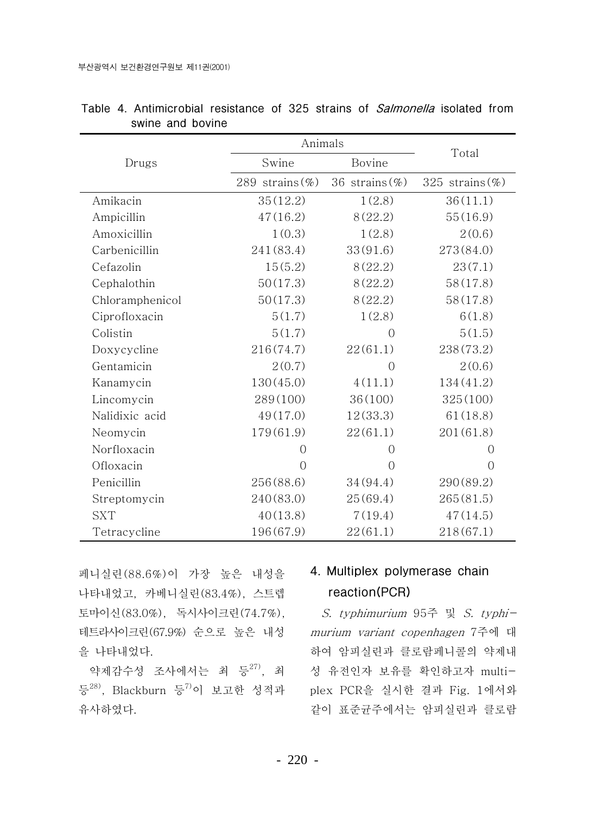|                 | Animals            |                   |                    |  |  |
|-----------------|--------------------|-------------------|--------------------|--|--|
| Drugs           | Swine              | Bovine            | Total              |  |  |
|                 | 289 strains $(\%)$ | 36 strains $(\%)$ | 325 strains $(\%)$ |  |  |
| Amikacin        | 35(12.2)           | 1(2.8)            | 36(11.1)           |  |  |
| Ampicillin      | 47(16.2)           | 8(22.2)           | 55(16.9)           |  |  |
| Amoxicillin     | 1(0.3)             | 1(2.8)            | 2(0.6)             |  |  |
| Carbenicillin   | 241(83.4)          | 33(91.6)          | 273(84.0)          |  |  |
| Cefazolin       | 15(5.2)            | 8(22.2)           | 23(7.1)            |  |  |
| Cephalothin     | 50(17.3)           | 8(22.2)           | 58(17.8)           |  |  |
| Chloramphenicol | 50(17.3)           | 8(22.2)           | 58(17.8)           |  |  |
| Ciprofloxacin   | 5(1.7)             | 1(2.8)            | 6(1.8)             |  |  |
| Colistin        | 5(1.7)             | $\overline{0}$    | 5(1.5)             |  |  |
| Doxycycline     | 216(74.7)          | 22(61.1)          | 238(73.2)          |  |  |
| Gentamicin      | 2(0.7)             | $\overline{O}$    | 2(0.6)             |  |  |
| Kanamycin       | 130(45.0)          | 4(11.1)           | 134(41.2)          |  |  |
| Lincomycin      | 289(100)           | 36(100)           | 325(100)           |  |  |
| Nalidixic acid  | 49(17.0)           | 12(33.3)          | 61(18.8)           |  |  |
| Neomycin        | 179(61.9)          | 22(61.1)          | 201(61.8)          |  |  |
| Norfloxacin     | $\Omega$           | $\Omega$          | $\Omega$           |  |  |
| Ofloxacin       | $\bigcap$          | $\Omega$          | $\Omega$           |  |  |
| Penicillin      | 256(88.6)          | 34 (94.4)         | 290(89.2)          |  |  |
| Streptomycin    | 240(83.0)          | 25(69.4)          | 265(81.5)          |  |  |
| <b>SXT</b>      | 40(13.8)           | 7(19.4)           | 47(14.5)           |  |  |
| Tetracycline    | 196(67.9)          | 22(61.1)          | 218(67.1)          |  |  |

|                  |  | Table 4. Antimicrobial resistance of 325 strains of <i>Salmonella</i> isolated from |  |  |  |  |  |
|------------------|--|-------------------------------------------------------------------------------------|--|--|--|--|--|
| swine and bovine |  |                                                                                     |  |  |  |  |  |

페니실린(88.6%)이 가장 높은 내성을 나타내었고, 카베니실린 (83.4%), 스트렙 토마이신 (83.0%), 독시사이크린 (74.7%), 테트라사이크린(67.9%) 순으로 높은 내성 을 나타내었다.

등<sup>28)</sup>, Blackburn 등<sup>7)</sup>이 보고한 성적과 plex PCR을 실시한 결과 Fig. 1에서와 유사하였다.

# 4. Multiplex polymerase chain reaction(PCR)

S. typhimurium 95주 및 S. typhi*murium variant copenhagen* 7주에 대 하여 암피실린과 클로람페니콜의 약제내 약제감수성 조사에서는 최 등<sup>27)</sup>, 최 성 유전인자 보유를 확인하고자 multi-같이 표준균주에서는 암피실린과 클로람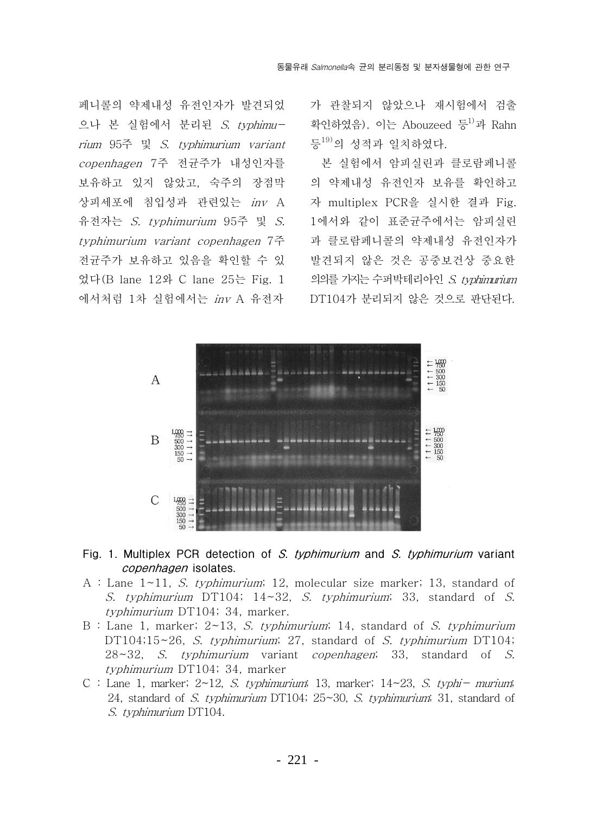페니콜의 약제내성 유전인자가 발견되었 으나 본 실험에서 분리된 S. typhimurium 95주 및 S. typhimurium variant copenhagen 7주 전균주가 내성인자를 보유하고 있지 않았고, 숙주의 장점막 상피세포에 침입성과 관련있는 inv A 유전자는 S. typhimurium 95주 및 S. typhimurium variant copenhagen 7주 전균주가 보유하고 있음을 확인할 수 있 었다(B lane 12와 C lane 25는 Fig. 1 에서처럼 1차 실험에서는 inv A 유전자

가 관찰되지 않았으나 재시험에서 검출 확인하였음). 이는 Abouzeed 등<sup>1)</sup>과 Rahn 등<sup>19)</sup>의 성적과 일치하였다.

본 실험에서 암피실린과 클로람페니콜 의 약제내성 유전인자 보유를 확인하고 자 multiplex PCR을 실시한 결과 Fig. 1에서와 같이 표준균주에서는 암피실린 과 클로람페니콜의 약제내성 유전인자가 발견되지 않은 것은 공중보건상 중요한 의의를 가지는 수퍼박테리아인 S. typhimurium DT104가 분리되지 않은 것으로 판단된다.



### Fig. 1. Multiplex PCR detection of S. typhimurium and S. typhimurium variant copenhagen isolates.

- A : Lane  $1 \sim 11$ , S. typhimurium; 12, molecular size marker; 13, standard of S. typhimurium DT104;  $14 \sim 32$ , S. typhimurium; 33, standard of S. typhimurium DT104; 34, marker.
- B : Lane 1, marker;  $2 \sim 13$ , S. typhimurium; 14, standard of S. typhimurium DT104;15~26, S. typhimurium; 27, standard of S. typhimurium DT104; 28~32, S. typhimurium variant copenhagen; 33, standard of S. typhimurium DT104; 34, marker
- C : Lane 1, marker;  $2 \sim 12$ , S. typhimurium; 13, marker;  $14 \sim 23$ , S. typhi murium; 24, standard of S. typhimurium DT104;  $25 \sim 30$ , S. typhimurium, 31, standard of S. typhimurium DT104.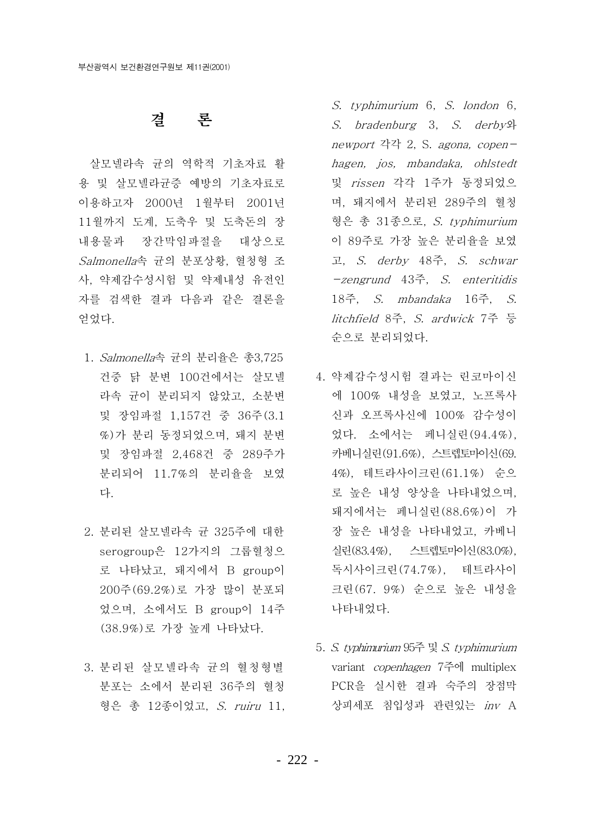# 결 론

살모넬라속 균의 역학적 기초자료 활 용 및 살모넬라균증 예방의 기초자료로 이용하고자 2000년 1월부터 2001년 11월까지 도계, 도축우 및 도축돈의 장 내용물과 장간막임파절을 대상으로 Salmonella속 균의 분포상황, 혈청형 조 사. 약제감수성시험 및 약제내성 유전인 자를 검색한 결과 다음과 같은 결론을 얻었다.

- 1. Salmonella속 균의 분리율은 총3.725 건중 닭 분변 100건에서는 살모넬 라속 균이 분리되지 않았고, 소분변 및 장임파절 1.157건 중 36주(3.1 %)가 분리 동정되었으며, 돼지 분변 및 장임파절 2,468건 중 289주가 분리되어 11.7%의 분리율을 보였 다.
- 2. 분리된 살모넬라속 규 325주에 대한 serogroup은 12가지의 그룹혈청으 로 나타났고, 돼지에서 B group이 200주(69.2%)로 가장 많이 분포되 었으며, 소에서도 B group이 14주 (38.9%)로 가장 높게 나타났다.
- 3. 분리된 살모넬라속 규의 혈청형별 분포는 소에서 분리된 36주의 혈청 형은 총 12종이었고, S. ruiru 11,

S. typhimurium 6. S. london 6. S. bradenburg 3, S. derby 9 newport 각각 2, S. agona, copenhagen, jos, mbandaka, ohlstedt 및 rissen 각각 1주가 동정되었으 며, 돼지에서 분리된 289주의 혈청 형은 총 31종으로, *S. typhimurium* 이 89주로 가장 높은 분리율을 보였 고, S. derby 48주, S. schwar -zengrund 43<sup>2</sup>, S. enteritidis 18주. S. mbandaka 16주. S. litchfield 8주, S. ardwick 7주 등 순으로 분리되었다.

- 4. 약제감수성시험 결과는 린코마이신 에 100% 내성을 보였고, 노프록사 신과 오프록사신에 100% 감수성이 었다. 소에서는 페니실린 (94.4%), 카베니실린 (91.6%), 스트렙토마이신 (69. 4%), 테트라사이크린 (61.1%) 순으 로 높은 내성 양상을 나타내었으며, 돼지에서는 페니실린 (88.6%)이 가 장 높은 내성을 나타내었고, 카베니 실린 (83.4%). 스트렙토마이신 (83.0%). 독시사이크린 (74.7%), 테트라사이 크린(67. 9%) 순으로 높은 내성을 나타내었다.
	- 5. S. typhimurium 95주 및 S. typhimurium variant *copenhagen* 7주에 multiplex PCR을 실시한 결과 숙주의 장점막 상피세포 침입성과 관련있는 inv A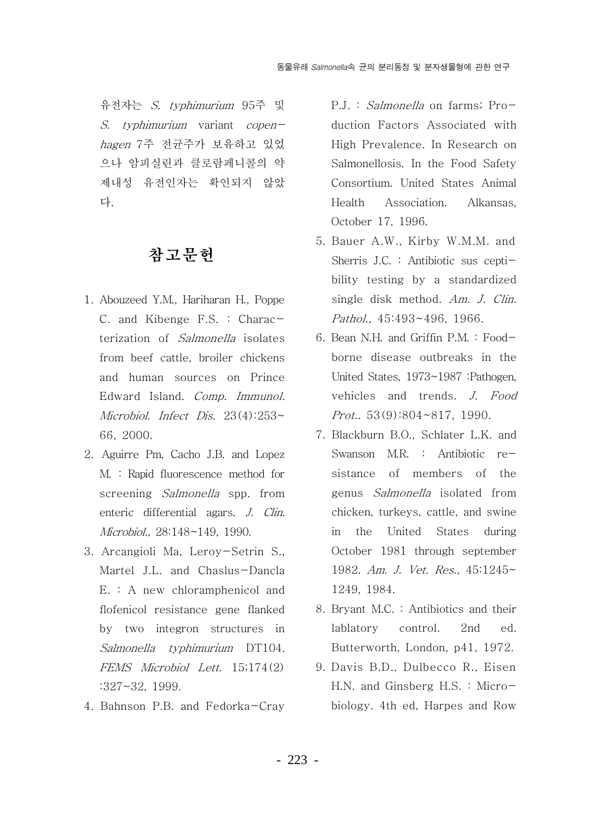유전자는 S. tvphimurium 95주 및 S. typhimurium variant copenhagen 7주 전균주가 보유하고 있었 으나 암피실린과 클로람페니콜의 약 제내성 유전인자는 확인되지 않았 다.

# 참고문헌

- 1. Abouzeed Y.M., Hariharan H., Poppe C. and Kibenge F.S. : Characterization of Salmonella isolates from beef cattle, broiler chickens and human sources on Prince Edward Island. Comp. Immunol. Microbiol. Infect Dis.  $23(4):253\sim$ 66, 2000.
- 2. Aguirre Pm, Cacho J.B. and Lopez M. : Rapid fluorescence method for screening Salmonella spp. from enteric differential agars. J. Clin. Microbiol., 28:148~149, 1990.
- 3. Arcangioli Ma, Leroy-Setrin S., Martel J.L. and Chaslus-Dancla E. : A new chloramphenicol and flofenicol resistance gene flanked by two integron structures in Salmonella typhimurium DT104. FEMS Microbiol Lett. 15:174(2)  $:327 \times 32.1999.$
- 4. Bahnson P.B. and Fedorka-Cray

P.J.: Salmonella on farms; Production Factors Associated with High Prevalence. In Research on Salmonellosis. In the Food Safety Consortium. United States Animal Health Association. Alkansas. October 17, 1996.

- 5. Bauer A.W., Kirby W.M.M. and Sherris J.C. : Antibiotic sus ceptibility testing by a standardized single disk method. Am. J. Clin. Pathol., 45:493~496, 1966.
- 6. Bean N.H. and Griffin P.M. : Foodborne disease outbreaks in the United States, 1973~1987 :Pathogen, vehicles and trends. J. Food Prot.,  $53(9):804 \sim 817$ , 1990.
- 7. Blackburn B.O., Schlater L.K. and Swanson M.R. : Antibiotic resistance of members of the genus Salmonella isolated from chicken, turkeys, cattle, and swine in the United States during October 1981 through september 1982. Am. J. Vet. Res., 45:1245~ 1249, 1984.
- 8. Bryant M.C.: Antibiotics and their lablatory control.  $2nd$ ed. Butterworth, London, p41, 1972.
- 9. Davis B.D., Dulbecco R., Eisen H.N. and Ginsberg H.S. : Microbiology. 4th ed, Harpes and Row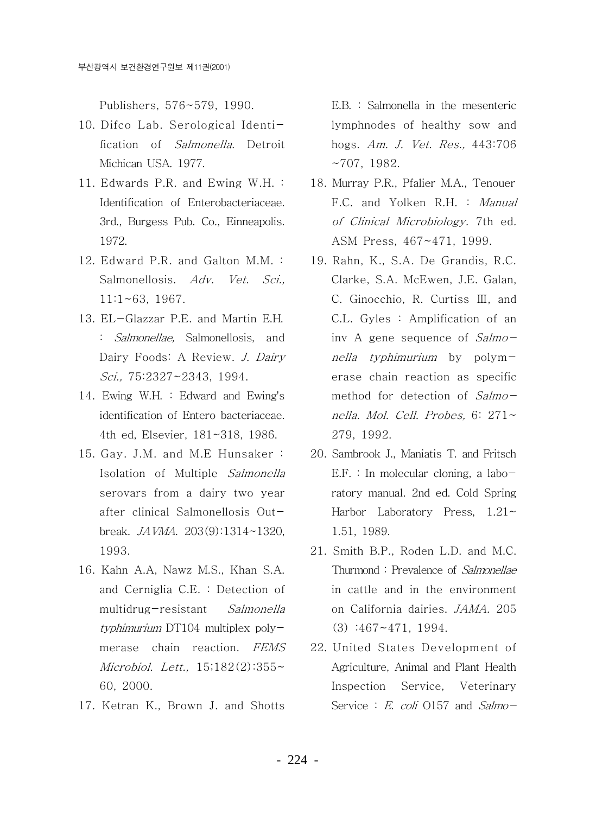Publishers. 576~579. 1990.

- 10. Difco Lab. Serological Identification of *Salmonella*. Detroit Michican USA, 1977.
- 11. Edwards P.R. and Ewing W.H. : Identification of Enterobacteriaceae. 3rd., Burgess Pub. Co., Einneapolis. 1972.
- 12. Edward P.R. and Galton M.M. : Salmonellosis. Adv. Vet. Sci.,  $11:1~63.~1967.$
- 13. EL-Glazzar P.E. and Martin E.H. : *Salmonellae*, Salmonellosis, and Dairy Foods: A Review. J. Dairy Sci., 75:2327~2343, 1994.
- 14. Ewing W.H. : Edward and Ewing's identification of Entero bacteriaceae. 4th ed, Elsevier, 181~318, 1986.
- 15. Gay. J.M. and M.E Hunsaker: Isolation of Multiple Salmonella serovars from a dairy two year after clinical Salmonellosis Outbreak.  $JAVMA$ . 203(9):1314~1320. 1993.
- 16. Kahn A.A, Nawz M.S., Khan S.A. and Cerniglia C.E. : Detection of multidrug-resistant Salmonella typhimurium DT104 multiplex polymerase chain reaction. FEMS Microbiol. Lett.,  $15:182(2):355-$ 60. 2000.
- 17. Ketran K., Brown J. and Shotts

 $E.B.$ : Salmonella in the mesenteric lymphnodes of healthy sow and hogs. Am. J. Vet. Res., 443:706  $~1982.$ 

- 18. Murray P.R., Pfalier M.A., Tenouer F.C. and Yolken R.H. : Manual of Clinical Microbiology. 7th ed. ASM Press, 467~471, 1999.
- 19. Rahn, K., S.A. De Grandis, R.C. Clarke, S.A. McEwen, J.E. Galan, C. Ginocchio, R. Curtiss III, and C.L. Gyles: Amplification of an iny A gene sequence of Salmonella typhimurium by polymerase chain reaction as specific method for detection of Salmonella. Mol. Cell. Probes. 6: 271~ 279, 1992.
- 20. Sambrook J., Maniatis T. and Fritsch  $E.F.$ : In molecular cloning, a laboratory manual. 2nd ed. Cold Spring Harbor Laboratory Press,  $1.21 \sim$ 1.51, 1989.
- 21. Smith B.P., Roden L.D. and M.C. Thurmond: Prevalence of Salmonellae in cattle and in the environment on California dairies. JAMA. 205  $(3)$  :467~471, 1994.
- 22. United States Development of Agriculture, Animal and Plant Health Inspection Service. Veterinary Service : E. coli 0157 and Salmo-